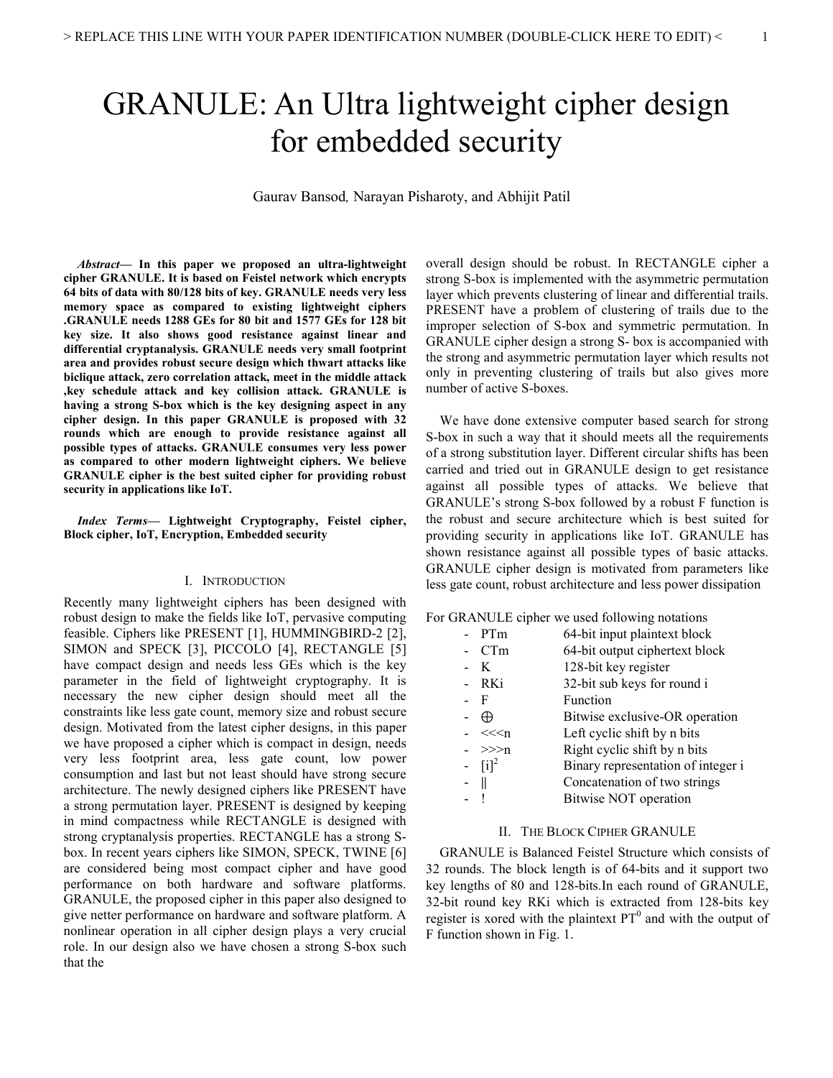# GRANULE: An Ultra lightweight cipher design for embedded security

Gaurav Bansod*,* Narayan Pisharoty, and Abhijit Patil

*Abstract***— In this paper we proposed an ultra-lightweight cipher GRANULE. It is based on Feistel network which encrypts 64 bits of data with 80/128 bits of key. GRANULE needs very less memory space as compared to existing lightweight ciphers .GRANULE needs 1288 GEs for 80 bit and 1577 GEs for 128 bit key size. It also shows good resistance against linear and differential cryptanalysis. GRANULE needs very small footprint area and provides robust secure design which thwart attacks like biclique attack, zero correlation attack, meet in the middle attack ,key schedule attack and key collision attack. GRANULE is having a strong S-box which is the key designing aspect in any cipher design. In this paper GRANULE is proposed with 32 rounds which are enough to provide resistance against all possible types of attacks. GRANULE consumes very less power as compared to other modern lightweight ciphers. We believe GRANULE cipher is the best suited cipher for providing robust security in applications like IoT.** 

*Index Terms***— Lightweight Cryptography, Feistel cipher, Block cipher, IoT, Encryption, Embedded security** 

## I. INTRODUCTION

Recently many lightweight ciphers has been designed with robust design to make the fields like IoT, pervasive computing feasible. Ciphers like PRESENT [1], HUMMINGBIRD-2 [2], SIMON and SPECK [3], PICCOLO [4], RECTANGLE [5] have compact design and needs less GEs which is the key parameter in the field of lightweight cryptography. It is necessary the new cipher design should meet all the constraints like less gate count, memory size and robust secure design. Motivated from the latest cipher designs, in this paper we have proposed a cipher which is compact in design, needs very less footprint area, less gate count, low power consumption and last but not least should have strong secure architecture. The newly designed ciphers like PRESENT have a strong permutation layer. PRESENT is designed by keeping in mind compactness while RECTANGLE is designed with strong cryptanalysis properties. RECTANGLE has a strong Sbox. In recent years ciphers like SIMON, SPECK, TWINE [6] are considered being most compact cipher and have good performance on both hardware and software platforms. GRANULE, the proposed cipher in this paper also designed to give netter performance on hardware and software platform. A nonlinear operation in all cipher design plays a very crucial role. In our design also we have chosen a strong S-box such that the

overall design should be robust. In RECTANGLE cipher a strong S-box is implemented with the asymmetric permutation layer which prevents clustering of linear and differential trails. PRESENT have a problem of clustering of trails due to the improper selection of S-box and symmetric permutation. In GRANULE cipher design a strong S- box is accompanied with the strong and asymmetric permutation layer which results not only in preventing clustering of trails but also gives more number of active S-boxes.

We have done extensive computer based search for strong S-box in such a way that it should meets all the requirements of a strong substitution layer. Different circular shifts has been carried and tried out in GRANULE design to get resistance against all possible types of attacks. We believe that GRANULE's strong S-box followed by a robust F function is the robust and secure architecture which is best suited for providing security in applications like IoT. GRANULE has shown resistance against all possible types of basic attacks. GRANULE cipher design is motivated from parameters like less gate count, robust architecture and less power dissipation

For GRANULE cipher we used following notations

| - PTm                                                  | 64-bit input plaintext block       |
|--------------------------------------------------------|------------------------------------|
| CTm                                                    | 64-bit output ciphertext block     |
| K                                                      | 128-bit key register               |
| - RKi                                                  | 32-bit sub keys for round i        |
| - F                                                    | Function                           |
| ⊕                                                      | Bitwise exclusive-OR operation     |
| << <n< th=""><th>Left cyclic shift by n bits</th></n<> | Left cyclic shift by n bits        |
| $-$ >>>n                                               | Right cyclic shift by n bits       |
| $-[i]^2$                                               | Binary representation of integer i |
| - 11                                                   | Concatenation of two strings       |
|                                                        | <b>Bitwise NOT operation</b>       |

## II. THE BLOCK CIPHER GRANULE

GRANULE is Balanced Feistel Structure which consists of 32 rounds. The block length is of 64-bits and it support two key lengths of 80 and 128-bits.In each round of GRANULE, 32-bit round key RKi which is extracted from 128-bits key register is xored with the plaintext  $PT<sup>0</sup>$  and with the output of F function shown in Fig. 1.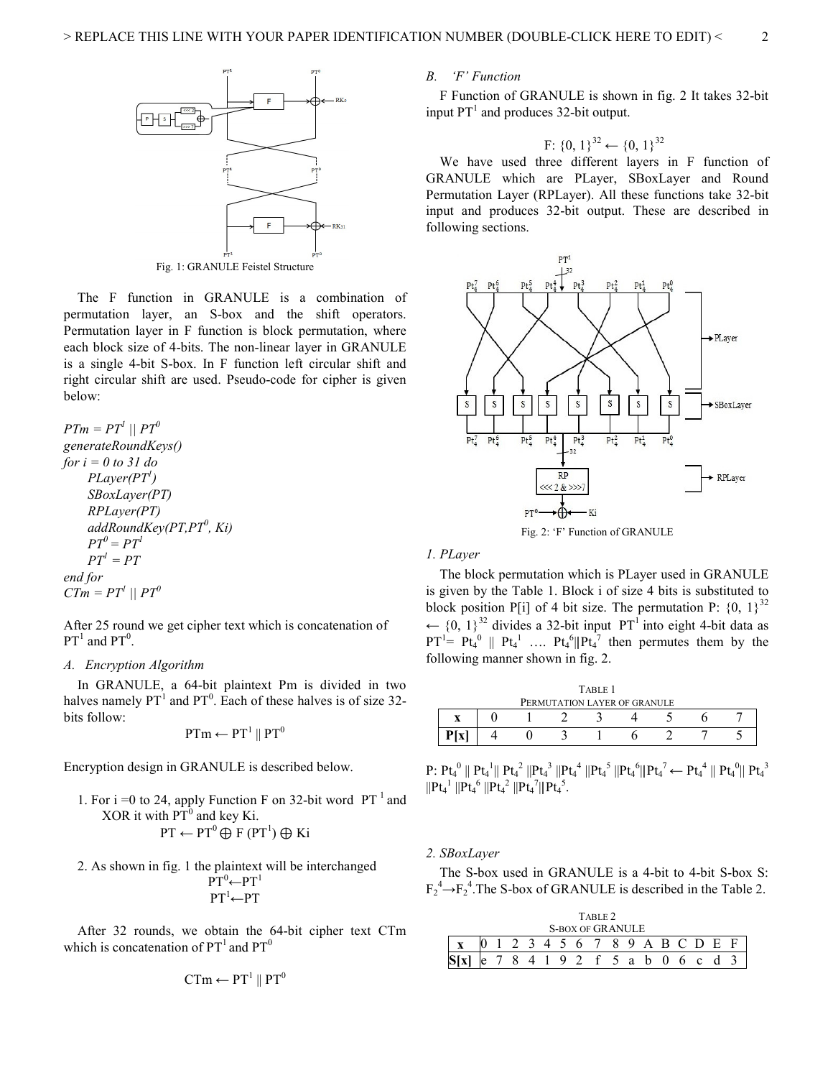

Fig. 1: GRANULE Feistel Structure

The F function in GRANULE is a combination of permutation layer, an S-box and the shift operators. Permutation layer in F function is block permutation, where each block size of 4-bits. The non-linear layer in GRANULE is a single 4-bit S-box. In F function left circular shift and right circular shift are used. Pseudo-code for cipher is given below:

 $PTm = PT^l \mid \mid PT^0$ *generateRoundKeys() for i = 0 to 31 do PLayer(PT<sup>1</sup> ) SBoxLayer(PT) RPLayer(PT) addRoundKey(PT,PT<sup>0</sup> , Ki)*   $PT^0 = PT^1$  $PT^l = PT$ *end for*   $CTm = PT<sup>1</sup> || PT<sup>0</sup>$ 

After 25 round we get cipher text which is concatenation of  $PT<sup>1</sup>$  and  $PT<sup>0</sup>$ .

#### *A. Encryption Algorithm*

In GRANULE, a 64-bit plaintext Pm is divided in two halves namely  $PT<sup>1</sup>$  and  $PT<sup>0</sup>$ . Each of these halves is of size 32bits follow:

$$
PTm \leftarrow PT^1 \parallel PT^0
$$

Encryption design in GRANULE is described below.

1. For i =0 to 24, apply Function F on 32-bit word 
$$
PT^1
$$
 and  
XOR it with  $PT^0$  and key Ki.  

$$
PT \leftarrow PT^0 \oplus F (PT^1) \oplus Ki
$$

2. As shown in fig. 1 the plaintext will be interchanged  $PT^0 \leftarrow PT^1$  $PT<sup>1</sup>$ ← $PT$ 

After 32 rounds, we obtain the 64-bit cipher text CTm which is concatenation of  $PT<sup>1</sup>$  and  $PT<sup>0</sup>$ 

$$
CTm \leftarrow PT^1 \parallel PT^0
$$

# *B. 'F' Function*

F Function of GRANULE is shown in fig. 2 It takes 32-bit input  $PT<sup>1</sup>$  and produces 32-bit output.

# F:  ${0, 1}^{32}$  ←  ${0, 1}^{32}$

We have used three different layers in F function of GRANULE which are PLayer, SBoxLayer and Round Permutation Layer (RPLayer). All these functions take 32-bit input and produces 32-bit output. These are described in following sections.



Fig. 2: 'F' Function of GRANULE

#### *1. PLayer*

The block permutation which is PLayer used in GRANULE is given by the Table 1. Block i of size 4 bits is substituted to block position P[i] of 4 bit size. The permutation P:  $\{0, 1\}^{32}$ ←  ${0, 1}^{32}$  divides a 32-bit input PT<sup>1</sup> into eight 4-bit data as  $PT^1 = Pt_4^0 \parallel Pt_4^1 \ldots Pt_4^6 \parallel Pt_4^7$  then permutes them by the following manner shown in fig. 2.

| TABLE 1                      |  |  |  |  |  |  |  |  |  |  |  |
|------------------------------|--|--|--|--|--|--|--|--|--|--|--|
| PERMUTATION LAYER OF GRANULE |  |  |  |  |  |  |  |  |  |  |  |
|                              |  |  |  |  |  |  |  |  |  |  |  |
|                              |  |  |  |  |  |  |  |  |  |  |  |

 ${\rm P:}~{\rm Pt}_4^{~0} \parallel {\rm Pt}_4^{~1} \parallel {\rm Pt}_4^{~2} \parallel {\rm Pt}_4^{~3} \parallel {\rm Pt}_4^{~4} \parallel {\rm Pt}_4^{~5} \parallel {\rm Pt}_4^{~6} \parallel {\rm Pt}_4^{~7} \leftarrow {\rm Pt}_4^{~4} \parallel {\rm Pt}_4^{~0} \parallel {\rm Pt}_4^{~3}$  $||Pt_4^1||Pt_4^6||Pt_4^2||Pt_4^7||Pt_4^5.$ 

*2. SBoxLayer* 

The S-box used in GRANULE is a 4-bit to 4-bit S-box S:  $F_2^4 \rightarrow F_2^4$ . The S-box of GRANULE is described in the Table 2.

|                         | TABLE 2 |  |  |  |  |  |  |                             |  |  |  |  |       |  |  |
|-------------------------|---------|--|--|--|--|--|--|-----------------------------|--|--|--|--|-------|--|--|
| <b>S-BOX OF GRANULE</b> |         |  |  |  |  |  |  |                             |  |  |  |  |       |  |  |
|                         |         |  |  |  |  |  |  | 2 3 4 5 6 7 8 9 A B C D E F |  |  |  |  |       |  |  |
|                         |         |  |  |  |  |  |  | 8 4 1 9 2 f 5 a b 0         |  |  |  |  | 6 c d |  |  |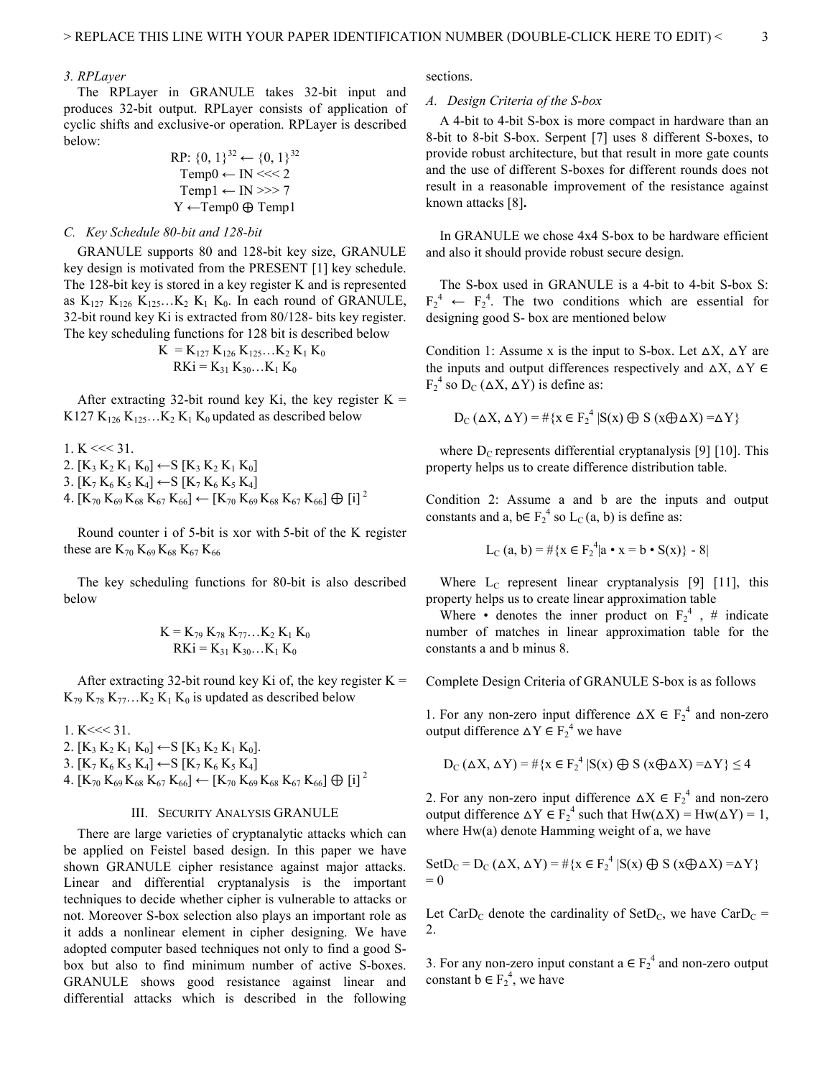## *3. RPLayer*

The RPLayer in GRANULE takes 32-bit input and produces 32-bit output. RPLayer consists of application of cyclic shifts and exclusive-or operation. RPLayer is described below:

$$
\begin{array}{l}\n\text{RP: } \{0, 1\}^{32} \leftarrow \{0, 1\}^{32} \\
\text{Temp0} \leftarrow \text{IN} <<< 2 \\
\text{Temp1} \leftarrow \text{IN} >>> 7 \\
\text{Y} \leftarrow \text{Temp0} \oplus \text{Temp1}\n\end{array}
$$

#### *C. Key Schedule 80-bit and 128-bit*

GRANULE supports 80 and 128-bit key size, GRANULE key design is motivated from the PRESENT [1] key schedule. The 128-bit key is stored in a key register K and is represented as  $K_{127} K_{126} K_{125}...K_2 K_1 K_0$ . In each round of GRANULE, 32-bit round key Ki is extracted from 80/128- bits key register. The key scheduling functions for 128 bit is described below

$$
K = K_{127} K_{126} K_{125}...K_2 K_1 K_0
$$
  
RKi = K<sub>31</sub> K<sub>30</sub>...K<sub>1</sub> K<sub>0</sub>

After extracting 32-bit round key Ki, the key register  $K =$ K127 K<sub>126</sub> K<sub>125</sub>...K<sub>2</sub> K<sub>1</sub> K<sub>0</sub> updated as described below

1. K << 31.  
\n2. [K<sub>3</sub> K<sub>2</sub> K<sub>1</sub> K<sub>0</sub>] 
$$
\leftarrow
$$
 S [K<sub>3</sub> K<sub>2</sub> K<sub>1</sub> K<sub>0</sub>]  
\n3. [K<sub>7</sub> K<sub>6</sub> K<sub>5</sub> K<sub>4</sub>]  $\leftarrow$  S [K<sub>7</sub> K<sub>6</sub> K<sub>5</sub> K<sub>4</sub>]  
\n4. [K<sub>70</sub> K<sub>69</sub> K<sub>68</sub> K<sub>67</sub> K<sub>66</sub>]  $\leftarrow$  [K<sub>70</sub> K<sub>69</sub> K<sub>68</sub> K<sub>67</sub> K<sub>66</sub>]  $\oplus$  [i]<sup>2</sup>

Round counter i of 5-bit is xor with 5-bit of the K register these are  $K_{70} K_{69} K_{68} K_{67} K_{66}$ 

The key scheduling functions for 80-bit is also described below

$$
K = K_{79} K_{78} K_{77}...K_2 K_1 K_0
$$
  
RKi = K<sub>31</sub> K<sub>30</sub>...K<sub>1</sub> K<sub>0</sub>

After extracting 32-bit round key Ki of, the key register  $K =$  $K_{79} K_{78} K_{77}...K_2 K_1 K_0$  is updated as described below

 $1. K \ll 31.$ 

- 2.  $[K_3 K_2 K_1 K_0] \leftarrow S [K_3 K_2 K_1 K_0]$ .
- 3.  $[K_7 K_6 K_5 K_4]$  ←S  $[K_7 K_6 K_5 K_4]$
- 4.  $[K_{70} K_{69} K_{68} K_{67} K_{66}] \leftarrow [K_{70} K_{69} K_{68} K_{67} K_{66}] \oplus [i]^{2}$

## III. SECURITY ANALYSIS GRANULE

There are large varieties of cryptanalytic attacks which can be applied on Feistel based design. In this paper we have shown GRANULE cipher resistance against major attacks. Linear and differential cryptanalysis is the important techniques to decide whether cipher is vulnerable to attacks or not. Moreover S-box selection also plays an important role as it adds a nonlinear element in cipher designing. We have adopted computer based techniques not only to find a good Sbox but also to find minimum number of active S-boxes. GRANULE shows good resistance against linear and differential attacks which is described in the following

sections.

#### *A. Design Criteria of the S-box*

A 4-bit to 4-bit S-box is more compact in hardware than an 8-bit to 8-bit S-box. Serpent [7] uses 8 different S-boxes, to provide robust architecture, but that result in more gate counts and the use of different S-boxes for different rounds does not result in a reasonable improvement of the resistance against known attacks [8]**.**

In GRANULE we chose 4x4 S-box to be hardware efficient and also it should provide robust secure design.

The S-box used in GRANULE is a 4-bit to 4-bit S-box S:  $F_2^4 \leftarrow F_2^4$ . The two conditions which are essential for designing good S- box are mentioned below

Condition 1: Assume x is the input to S-box. Let  $\Delta X$ ,  $\Delta Y$  are the inputs and output differences respectively and  $\Delta X$ ,  $\Delta Y \in$  $F_2^4$  so  $D_C (\Delta X, \Delta Y)$  is define as:

$$
D_{C} (\Delta X, \Delta Y) = #\{x \in F_{2}^{4} | S(x) \oplus S (x \oplus \Delta X) = \Delta Y\}
$$

where  $D_C$  represents differential cryptanalysis [9] [10]. This property helps us to create difference distribution table.

Condition 2: Assume a and b are the inputs and output constants and a,  $b \in F_2^4$  so  $L_C(a, b)$  is define as:

$$
L_C(a, b) = #{x \in F_2^4 | a \cdot x = b \cdot S(x)} - 8|
$$

Where  $L_c$  represent linear cryptanalysis [9] [11], this property helps us to create linear approximation table

Where • denotes the inner product on  $F_2^4$ , # indicate number of matches in linear approximation table for the constants a and b minus 8.

Complete Design Criteria of GRANULE S-box is as follows

1. For any non-zero input difference  $\Delta X \in F_2^4$  and non-zero output difference  $\Delta Y \in F_2^4$  we have

$$
D_C (\Delta X, \Delta Y) = #\{x \in F_2^4 \mid S(x) \oplus S (x \oplus \Delta X) = \Delta Y\} \le 4
$$

2. For any non-zero input difference  $\Delta X \in F_2^4$  and non-zero output difference  $\Delta Y \in F_2^4$  such that  $Hw(\Delta X) = Hw(\Delta Y) = 1$ , where Hw(a) denote Hamming weight of a, we have

Set
$$
D_C = D_C (\Delta X, \Delta Y) = #{x \in F_2^4 | S(x) \oplus S (x \oplus \Delta X) = \Delta Y}
$$
  
= 0

Let CarD<sub>C</sub> denote the cardinality of SetD<sub>C</sub>, we have CarD<sub>C</sub> = 2.

3. For any non-zero input constant  $a \in F_2^4$  and non-zero output constant  $b \in F_2^4$ , we have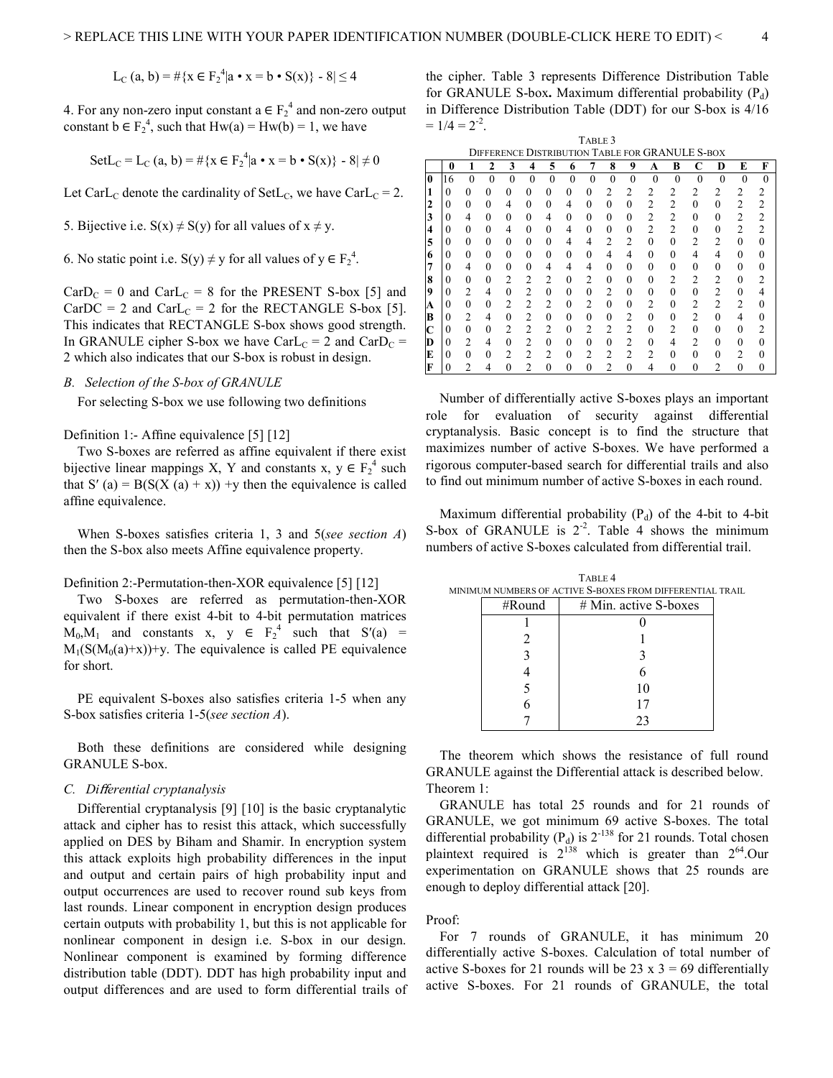$$
L_C(a, b) = #{x \in F_2^4 | a \cdot x = b \cdot S(x)} - 8 \le 4
$$

4. For any non-zero input constant  $a \in F_2^4$  and non-zero output constant  $b \in F_2^4$ , such that  $Hw(a) = Hw(b) = 1$ , we have

Set
$$
L_C = L_C(a, b) = #{x \in F_2^4 | a \cdot x = b \cdot S(x)} - 8 \neq 0
$$

Let CarL<sub>C</sub> denote the cardinality of SetL<sub>C</sub>, we have CarL<sub>C</sub> = 2.

5. Bijective i.e.  $S(x) \neq S(y)$  for all values of  $x \neq y$ .

6. No static point i.e.  $S(y) \neq y$  for all values of  $y \in F_2^4$ .

 $CarD<sub>C</sub> = 0$  and  $CarL<sub>C</sub> = 8$  for the PRESENT S-box [5] and CarDC = 2 and CarL<sub>C</sub> = 2 for the RECTANGLE S-box [5]. This indicates that RECTANGLE S-box shows good strength. In GRANULE cipher S-box we have CarL $_C$  = 2 and CarD $_C$  = 2 which also indicates that our S-box is robust in design.

## *B. Selection of the S-box of GRANULE*

For selecting S-box we use following two definitions

Definition 1:- Affine equivalence [5] [12]

Two S-boxes are referred as affine equivalent if there exist bijective linear mappings X, Y and constants x,  $y \in F_2^4$  such that S' (a) =  $B(S(X (a) + x))$  +y then the equivalence is called affine equivalence.

When S-boxes satisfies criteria 1, 3 and 5(*see section A*) then the S-box also meets Affine equivalence property.

## Definition 2:-Permutation-then-XOR equivalence [5] [12]

Two S-boxes are referred as permutation-then-XOR equivalent if there exist 4-bit to 4-bit permutation matrices  $M_0, M_1$  and constants x, y  $\in$   $F_2^4$  such that  $S'(a) =$  $M_1(S(M_0(a)+x))+y$ . The equivalence is called PE equivalence for short.

PE equivalent S-boxes also satisfies criteria 1-5 when any S-box satisfies criteria 1-5(*see section A*).

Both these definitions are considered while designing GRANULE S-box.

## *C. Di*ff*erential cryptanalysis*

Differential cryptanalysis [9] [10] is the basic cryptanalytic attack and cipher has to resist this attack, which successfully applied on DES by Biham and Shamir. In encryption system this attack exploits high probability differences in the input and output and certain pairs of high probability input and output occurrences are used to recover round sub keys from last rounds. Linear component in encryption design produces certain outputs with probability 1, but this is not applicable for nonlinear component in design i.e. S-box in our design. Nonlinear component is examined by forming difference distribution table (DDT). DDT has high probability input and output differences and are used to form differential trails of the cipher. Table 3 represents Difference Distribution Table for GRANULE S-box. Maximum differential probability (P<sub>d</sub>) in Difference Distribution Table (DDT) for our S-box is 4/16  $= 1/4 = 2^{-2}$ .

|             |          |          |          |                |                |          |          | TABLE 3        |                |                |                |                |                                                 |                |                |          |
|-------------|----------|----------|----------|----------------|----------------|----------|----------|----------------|----------------|----------------|----------------|----------------|-------------------------------------------------|----------------|----------------|----------|
|             |          |          |          |                |                |          |          |                |                |                |                |                | DIFFERENCE DISTRIBUTION TABLE FOR GRANULE S-BOX |                |                |          |
|             | 0        |          | 2        | 3              | 4              | 5        | 6        | 7              | 8              | 9              | A              | B              | C                                               | D              | E              | F        |
| 0           | 16       | $\theta$ | $\theta$ | $\theta$       | $\theta$       | $\theta$ | $\theta$ | $\theta$       | $\theta$       | $\theta$       | $\theta$       | $\theta$       | $\theta$                                        | $\theta$       | $\Omega$       | $\theta$ |
|             | 0        | 0        | $\Omega$ | $\theta$       | $\theta$       | $\theta$ | $\Omega$ | $\Omega$       | 2              | 2              | 2              | 2              | 2                                               | 2              | 2              |          |
|             | 0        | $\Omega$ | $\theta$ | 4              | $\Omega$       | $\theta$ | 4        | $\Omega$       | $\theta$       | $\theta$       | 2              | 2              | 0                                               | $\Omega$       | $\overline{c}$ | 2        |
| 3           | 0        | 4        | $\Omega$ | $\theta$       | $\Omega$       | 4        | 0        | $\Omega$       | $\theta$       | $\theta$       | $\overline{c}$ | $\overline{c}$ | 0                                               | 0              | $\overline{c}$ | 2        |
| 4           | 0        | $\Omega$ | $\Omega$ | 4              | $\Omega$       | $\theta$ | 4        | 0              | $\theta$       | $\theta$       | $\overline{c}$ | $\overline{2}$ | 0                                               | 0              | $\overline{c}$ | 2        |
| 5           | 0        | 0        | $\Omega$ | $\theta$       | $\Omega$       | 0        | 4        | 4              | $\overline{c}$ | 2              | $\Omega$       | $\Omega$       | 2                                               | $\overline{c}$ | $\Omega$       | 0        |
| 6           | 0        | 0        | $\theta$ | $\theta$       | $\Omega$       | $\theta$ | 0        | $\Omega$       | $\overline{4}$ | 4              | $\Omega$       | $\Omega$       | 4                                               | 4              | $\Omega$       | $\Omega$ |
| 7           | 0        | 4        | 0        | $\theta$       | $\theta$       | 4        | 4        | 4              | 0              | $\theta$       | 0              | $\Omega$       | 0                                               | $\theta$       | 0              | 0        |
| 8           | 0        | $\Omega$ | $\theta$ | 2              | 2              | 2        | $\theta$ | $\mathfrak{D}$ | $\theta$       | 0              | 0              | $\mathfrak{D}$ | 2                                               | 2              | $\theta$       |          |
| 9           | 0        | 2        | 4        | $\theta$       | $\overline{c}$ | $\theta$ | 0        | $\Omega$       | $\overline{2}$ | 0              | $\theta$       | $\theta$       | $\theta$                                        | $\overline{2}$ | $\theta$       |          |
| А           | $\Omega$ | $\Omega$ | $\theta$ | $\overline{2}$ | $\overline{c}$ | 2        | $\theta$ | $\overline{c}$ | $\theta$       | $\theta$       | 2              | $\Omega$       | 2                                               | $\overline{2}$ | 2              | 0        |
| B           | 0        | 2        | 4        | $\theta$       | $\overline{2}$ | $\theta$ | 0        | $\Omega$       | 0              | 2              | 0              | $\Omega$       | $\overline{c}$                                  | $\Omega$       | 4              | $\Omega$ |
| $\mathbf C$ | 0        | 0        | $\theta$ | $\overline{2}$ | $\overline{c}$ | 2        | $\Omega$ | 2              | $\overline{c}$ | $\overline{c}$ | 0              | $\overline{c}$ | 0                                               | 0              | $\Omega$       |          |
| D           | 0        | 2        | 4        | $\theta$       | $\overline{2}$ | $\theta$ | 0        | $\Omega$       | $\theta$       | $\overline{2}$ | 0              | 4              | 2                                               | 0              | 0              | 0        |
| E           | 0        | $\Omega$ | $\Omega$ | $\overline{c}$ | $\mathfrak{D}$ | 2        | $\Omega$ | $\mathfrak{D}$ | $\overline{2}$ | $\overline{c}$ | 2              | $\Omega$       | 0                                               | 0              | $\mathfrak{D}$ | 0        |
| F           | 0        | っ        | 4        | 0              | っ              | $\Omega$ | $\Omega$ | $\Omega$       | $\mathfrak{D}$ | $\Omega$       |                | $\Omega$       | ∩                                               |                | ∩              | 0        |

Number of differentially active S-boxes plays an important role for evaluation of security against differential cryptanalysis. Basic concept is to find the structure that maximizes number of active S-boxes. We have performed a rigorous computer-based search for differential trails and also to find out minimum number of active S-boxes in each round.

Maximum differential probability  $(P_d)$  of the 4-bit to 4-bit S-box of GRANULE is  $2^{-2}$ . Table 4 shows the minimum numbers of active S-boxes calculated from differential trail.

|        | IUM NUMBERS OF ACTIVE <b>S-</b> BOXES FROM DIFFERENTIAL TF |  |
|--------|------------------------------------------------------------|--|
| #Round | # Min. active S-boxes                                      |  |
|        |                                                            |  |
|        |                                                            |  |
|        |                                                            |  |
|        |                                                            |  |
|        | 10                                                         |  |
|        | 17                                                         |  |
|        | 23                                                         |  |

TABLE 4 MINIMUM NUMBERS OF ACTIVE S-BOXES FROM DIFFERENTIAL TRAIL

The theorem which shows the resistance of full round GRANULE against the Differential attack is described below. Theorem 1:

GRANULE has total 25 rounds and for 21 rounds of GRANULE, we got minimum 69 active S-boxes. The total differential probability ( $P_d$ ) is  $2^{-138}$  for 21 rounds. Total chosen plaintext required is  $2^{138}$  which is greater than  $2^{64}$ .Our experimentation on GRANULE shows that 25 rounds are enough to deploy differential attack [20].

#### Proof:

For 7 rounds of GRANULE, it has minimum 20 differentially active S-boxes. Calculation of total number of active S-boxes for 21 rounds will be 23 x  $3 = 69$  differentially active S-boxes. For 21 rounds of GRANULE, the total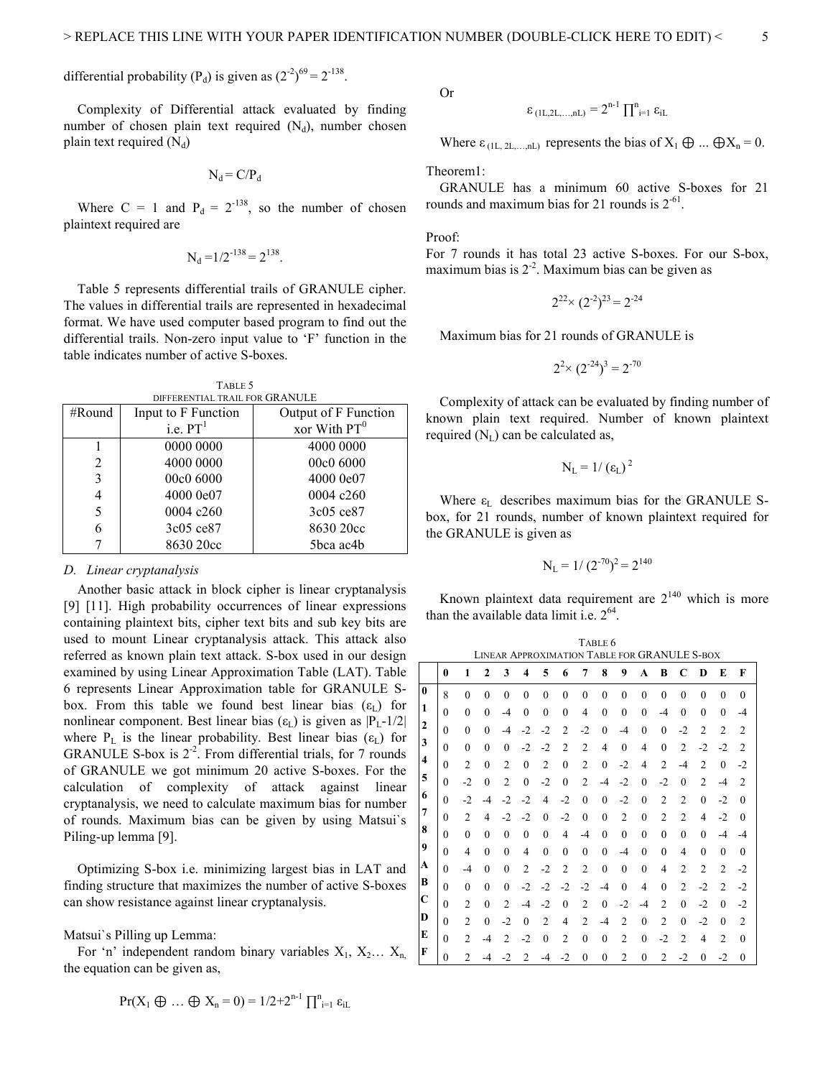differential probability (P<sub>d</sub>) is given as  $(2^{-2})^{69} = 2^{-138}$ .

Complexity of Differential attack evaluated by finding number of chosen plain text required  $(N_d)$ , number chosen plain text required  $(N_d)$ 

$$
N_d = C/P_d
$$

Where C = 1 and  $P_d = 2^{-138}$ , so the number of chosen plaintext required are

$$
N_d = 1/2^{-138} = 2^{138}.
$$

Table 5 represents differential trails of GRANULE cipher. The values in differential trails are represented in hexadecimal format. We have used computer based program to find out the differential trails. Non-zero input value to 'F' function in the table indicates number of active S-boxes.

TABLE  $5$ 

| DIFFERENTIAL TRAIL FOR GRANULE |                     |                      |  |  |  |  |  |  |  |  |
|--------------------------------|---------------------|----------------------|--|--|--|--|--|--|--|--|
| #Round                         | Input to F Function | Output of F Function |  |  |  |  |  |  |  |  |
|                                | i.e. $PT1$          | xor With $PT0$       |  |  |  |  |  |  |  |  |
|                                | 0000 0000           | 4000 0000            |  |  |  |  |  |  |  |  |
| 2                              | 4000 0000           | 00c0 6000            |  |  |  |  |  |  |  |  |
| 3                              | 00c0 6000           | 4000 0e07            |  |  |  |  |  |  |  |  |
| 4                              | 4000 0e07           | 0004c260             |  |  |  |  |  |  |  |  |
| 5                              | 0004 c260           | 3c05 ce87            |  |  |  |  |  |  |  |  |
| 6                              | 3c05 ce87           | 8630 20cc            |  |  |  |  |  |  |  |  |
|                                | 8630 20cc           | 5bca ac4b            |  |  |  |  |  |  |  |  |

## *D. Linear cryptanalysis*

Another basic attack in block cipher is linear cryptanalysis [9] [11]. High probability occurrences of linear expressions containing plaintext bits, cipher text bits and sub key bits are used to mount Linear cryptanalysis attack. This attack also referred as known plain text attack. S-box used in our design examined by using Linear Approximation Table (LAT). Table 6 represents Linear Approximation table for GRANULE Sbox. From this table we found best linear bias  $(\epsilon_{\text{L}})$  for nonlinear component. Best linear bias ( $\varepsilon_L$ ) is given as  $|P_L-1/2|$ where  $P_L$  is the linear probability. Best linear bias ( $\varepsilon_L$ ) for GRANULE S-box is  $2^{-2}$ . From differential trials, for 7 rounds of GRANULE we got minimum 20 active S-boxes. For the calculation of complexity of attack against linear cryptanalysis, we need to calculate maximum bias for number of rounds. Maximum bias can be given by using Matsui`s Piling-up lemma [9].

Optimizing S-box i.e. minimizing largest bias in LAT and finding structure that maximizes the number of active S-boxes can show resistance against linear cryptanalysis.

## Matsui`s Pilling up Lemma:

For 'n' independent random binary variables  $X_1, X_2... X_n$ the equation can be given as,

$$
Pr(X_1 \oplus ... \oplus X_n = 0) = 1/2 + 2^{n-1} \prod_{i=1}^n \varepsilon_{iL}
$$

Or

$$
\epsilon_{\left(1L,2L,\ldots,nL\right)}=2^{n\text{-}1}\prod\nolimits_{i=1}^{n}\epsilon_{iL}
$$

Where  $\varepsilon_{(1L, 2L,...nL)}$  represents the bias of  $X_1 \oplus ... \oplus X_n = 0$ .

Theorem1:

GRANULE has a minimum 60 active S-boxes for 21 rounds and maximum bias for 21 rounds is  $2^{-61}$ .

Proof:

For 7 rounds it has total 23 active S-boxes. For our S-box, maximum bias is  $2^{-2}$ . Maximum bias can be given as

$$
2^{22} \times (2^{-2})^{23} = 2^{-24}
$$

Maximum bias for 21 rounds of GRANULE is

$$
2^2 \times (2^{-24})^3 = 2^{-70}
$$

Complexity of attack can be evaluated by finding number of known plain text required. Number of known plaintext required  $(N_L)$  can be calculated as,

$$
N_{L}=1/\left(\epsilon_{L}\right)^{2}
$$

Where  $\varepsilon_L$  describes maximum bias for the GRANULE Sbox, for 21 rounds, number of known plaintext required for the GRANULE is given as

$$
N_L = 1/(2^{-70})^2 = 2^{140}
$$

Known plaintext data requirement are  $2^{140}$  which is more than the available data limit i.e.  $2^{64}$ .

|                         | TABLE 6      |                |                |                |                |                |                |                |                |                                              |              |                |                |                |                |                |
|-------------------------|--------------|----------------|----------------|----------------|----------------|----------------|----------------|----------------|----------------|----------------------------------------------|--------------|----------------|----------------|----------------|----------------|----------------|
|                         |              |                |                |                |                |                |                |                |                | LINEAR APPROXIMATION TABLE FOR GRANULE S-BOX |              |                |                |                |                |                |
|                         | 0            | 1              | $\mathbf{2}$   | 3              | 4              | 5              | 6              | 7              | 8              | 9                                            | A            | B              | C              | D              | E              | F              |
| $\mathbf{0}$            | 8            | $\theta$       | $\theta$       | $\theta$       | $\theta$       | $\theta$       | $\theta$       | $\theta$       | $\theta$       | $\theta$                                     | $\theta$     | $\mathbf{0}$   | $\theta$       | $\theta$       | $\theta$       | $\theta$       |
| 1                       | $\theta$     | $\theta$       | $\theta$       | $-4$           | 0              | $\mathbf{0}$   | $\theta$       | $\overline{4}$ | $\theta$       | $\mathbf{0}$                                 | $\mathbf{0}$ | $-4$           | $\theta$       | $\theta$       | $\mathbf{0}$   | $-4$           |
| $\mathbf{2}$            | $\theta$     | $\theta$       | $\theta$       | $-4$           | $-2$           | $-2$           | $\overline{2}$ | $-2$           | $\theta$       | $-4$                                         | $\theta$     | $\theta$       | $-2$           | $\overline{2}$ | $\overline{2}$ | $\overline{2}$ |
| 3                       | $\theta$     | $\theta$       | $\theta$       | $\theta$       | $-2$           | $-2$           | $\overline{2}$ | $\overline{2}$ | $\overline{4}$ | $\mathbf{0}$                                 | 4            | $\mathbf{0}$   | $\overline{2}$ | $-2$           | $-2$           | $\overline{2}$ |
| $\overline{\mathbf{4}}$ | $\theta$     | $\overline{c}$ | $\theta$       | 2              | $\theta$       | $\overline{2}$ | $\theta$       | $\overline{2}$ | $\mathbf{0}$   | $-2$                                         | 4            | $\overline{2}$ | -4             | $\overline{c}$ | $\mathbf{0}$   | $-2$           |
| 5                       | $\theta$     | $-2$           | $\theta$       | 2              | $\overline{0}$ | $-2$           | $\theta$       | $\overline{2}$ | $-4$           | $-2$                                         | $\mathbf{0}$ | $-2$           | $\theta$       | $\overline{c}$ | -4             | $\overline{2}$ |
| 6                       | $\theta$     | $-2$           | -4             | $-2$           | $-2$           | 4              | $-2$           | $\theta$       | $\theta$       | $-2$                                         | $\theta$     | $\overline{2}$ | $\overline{2}$ | $\theta$       | $-2$           | $\mathbf{0}$   |
| 7                       | $\theta$     | $\overline{c}$ | $\overline{4}$ | $-2$           | $-2$           | $\mathbf{0}$   | $-2$           | $\theta$       | $\mathbf{0}$   | $\overline{2}$                               | $\mathbf{0}$ | $\overline{2}$ | $\overline{2}$ | $\overline{4}$ | $-2$           | $\mathbf{0}$   |
| 8                       | $\theta$     | $\theta$       | $\theta$       | $\theta$       | $\theta$       | $\theta$       | 4              | $-4$           | $\theta$       | $\mathbf{0}$                                 | $\mathbf{0}$ | $\theta$       | $\theta$       | $\theta$       | $-4$           | $-4$           |
| 9                       | $\theta$     | $\overline{4}$ | $\theta$       | $\theta$       | 4              | $\mathbf{0}$   | $\theta$       | $\theta$       | $\mathbf{0}$   | $-4$                                         | $\mathbf{0}$ | $\mathbf{0}$   | 4              | $\theta$       | $\mathbf{0}$   | $\mathbf{0}$   |
| A                       | $\theta$     | $-4$           | $\theta$       | $\theta$       | 2              | $-2$           | $\overline{2}$ | $\overline{2}$ | $\mathbf{0}$   | $\theta$                                     | $\theta$     | $\overline{4}$ | $\overline{c}$ | $\overline{c}$ | $\overline{2}$ | $-2$           |
| В                       | $\theta$     | $\theta$       | $\theta$       | $\theta$       | $-2$           | $-2$           | $-2$           | $-2$           | -4             | $\mathbf{0}$                                 | 4            | $\mathbf{0}$   | 2              | $-2$           | $\overline{2}$ | $-2$           |
| $\mathbf C$             | $\theta$     | $\overline{2}$ | $\theta$       | 2              | -4             | $-2$           | $\theta$       | $\overline{2}$ | $\mathbf{0}$   | $-2$                                         | $-4$         | $\overline{2}$ | $\theta$       | $-2$           | $\theta$       | $-2$           |
| D                       | $\theta$     | $\overline{2}$ | $\mathbf{0}$   | -2             | 0              | $\overline{2}$ | 4              | 2              | $-4$           | $\overline{2}$                               | $\mathbf{0}$ | $\overline{2}$ | $\theta$       | $-2$           | $\mathbf{0}$   | $\overline{2}$ |
| E                       | $\theta$     | $\overline{2}$ | -4             | $\overline{c}$ | $-2$           | $\mathbf{0}$   | $\overline{2}$ | $\theta$       | $\mathbf{0}$   | $\overline{2}$                               | $\mathbf{0}$ | $-2$           | $\overline{c}$ | 4              | $\overline{2}$ | $\mathbf{0}$   |
| F                       | $\mathbf{0}$ | $\mathfrak{D}$ | -4             | $-2$           | $\overline{2}$ | -4             | $-2$           | $\theta$       | $\theta$       | $\overline{c}$                               | $\mathbf{0}$ | $\overline{c}$ | $-2$           | 0              | $-2$           | $\overline{0}$ |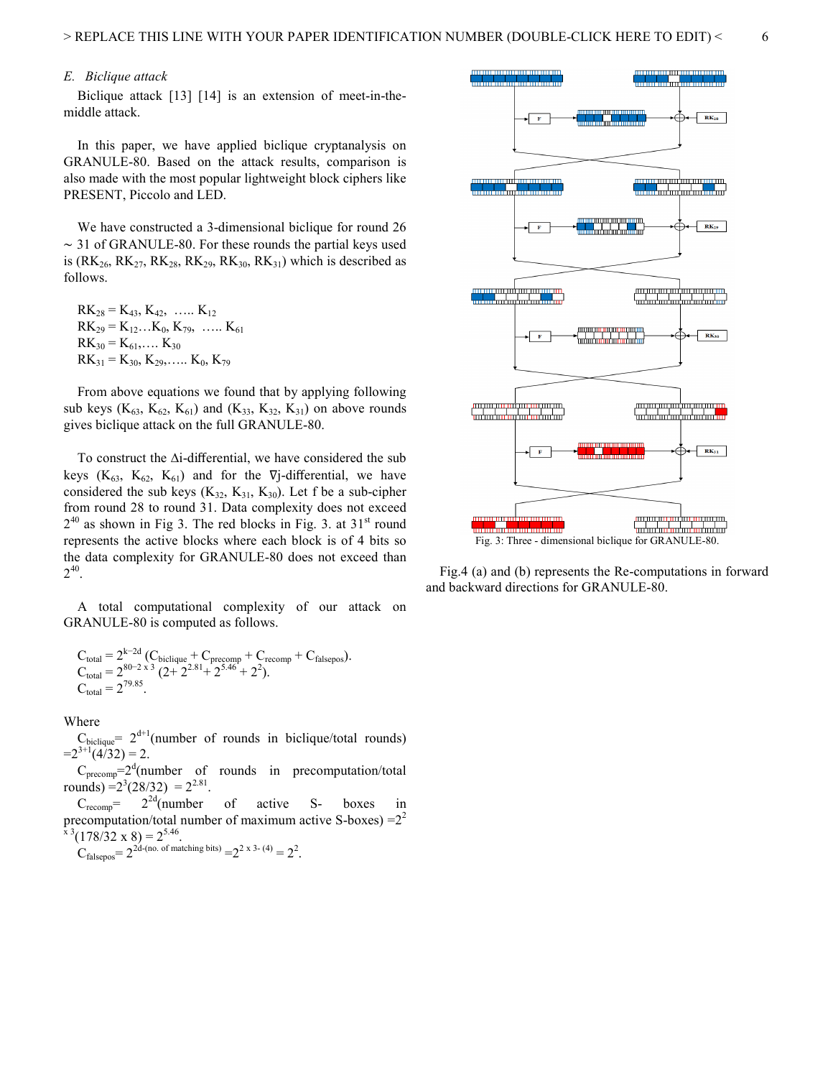# *E. Biclique attack*

Biclique attack [13] [14] is an extension of meet-in-themiddle attack.

In this paper, we have applied biclique cryptanalysis on GRANULE-80. Based on the attack results, comparison is also made with the most popular lightweight block ciphers like PRESENT, Piccolo and LED.

We have constructed a 3-dimensional biclique for round 26 ∼ 31 of GRANULE-80. For these rounds the partial keys used is (RK<sub>26</sub>, RK<sub>27</sub>, RK<sub>28</sub>, RK<sub>29</sub>, RK<sub>30</sub>, RK<sub>31</sub>) which is described as follows.

 $RK_{28} = K_{43}$ ,  $K_{42}$ , ……  $K_{12}$  $RK_{29} = K_{12}...K_{0}, K_{79}, ..... K_{61}$  $RK_{30} = K_{61}, \ldots K_{30}$  $RK_{31} = K_{30}$ ,  $K_{29}$ , ...  $K_{0}$ ,  $K_{79}$ 

From above equations we found that by applying following sub keys ( $K_{63}$ ,  $K_{62}$ ,  $K_{61}$ ) and ( $K_{33}$ ,  $K_{32}$ ,  $K_{31}$ ) on above rounds gives biclique attack on the full GRANULE-80.

To construct the ∆i-differential, we have considered the sub keys ( $K_{63}$ ,  $K_{62}$ ,  $K_{61}$ ) and for the  $\nabla$ *j*-differential, we have considered the sub keys  $(K_{32}, K_{31}, K_{30})$ . Let f be a sub-cipher from round 28 to round 31. Data complexity does not exceed  $2^{40}$  as shown in Fig 3. The red blocks in Fig. 3. at 31<sup>st</sup> round represents the active blocks where each block is of 4 bits so the data complexity for GRANULE-80 does not exceed than  $2^{40}$ .

A total computational complexity of our attack on GRANULE-80 is computed as follows.

$$
C_{\text{total}} = 2^{k-2d} (C_{\text{biclique}} + C_{\text{precomp}} + C_{\text{recomp}} + C_{\text{falsepos}}).
$$
  
\n
$$
C_{\text{total}} = 2^{80-2 \times 3} (2+2^{2.81}+2^{5.46}+2^2).
$$
  
\n
$$
C_{\text{total}} = 2^{79.85}.
$$

Where

 $C_{\text{biclique}} = 2^{d+1}$ (number of rounds in biclique/total rounds)  $=2^{3+1}(4/32)=2$ .

 $C_{precomp} = 2<sup>d</sup>$ (number of rounds in precomputation/total rounds) =  $2^3(28/32) = 2^{2.81}$ .

 $C_{\text{recomp}} = 2^{2d}$ (number of active S- boxes in precomputation/total number of maximum active S-boxes)  $=2^2$  $x^3(178/32 \times 8) = 2^{5.46}$ .

$$
C_{\text{falsepos}} = 2^{2d \cdot (\text{no. of matching bits})} = 2^{2 \times 3 \cdot (4)} = 2^2.
$$



Fig.4 (a) and (b) represents the Re-computations in forward and backward directions for GRANULE-80.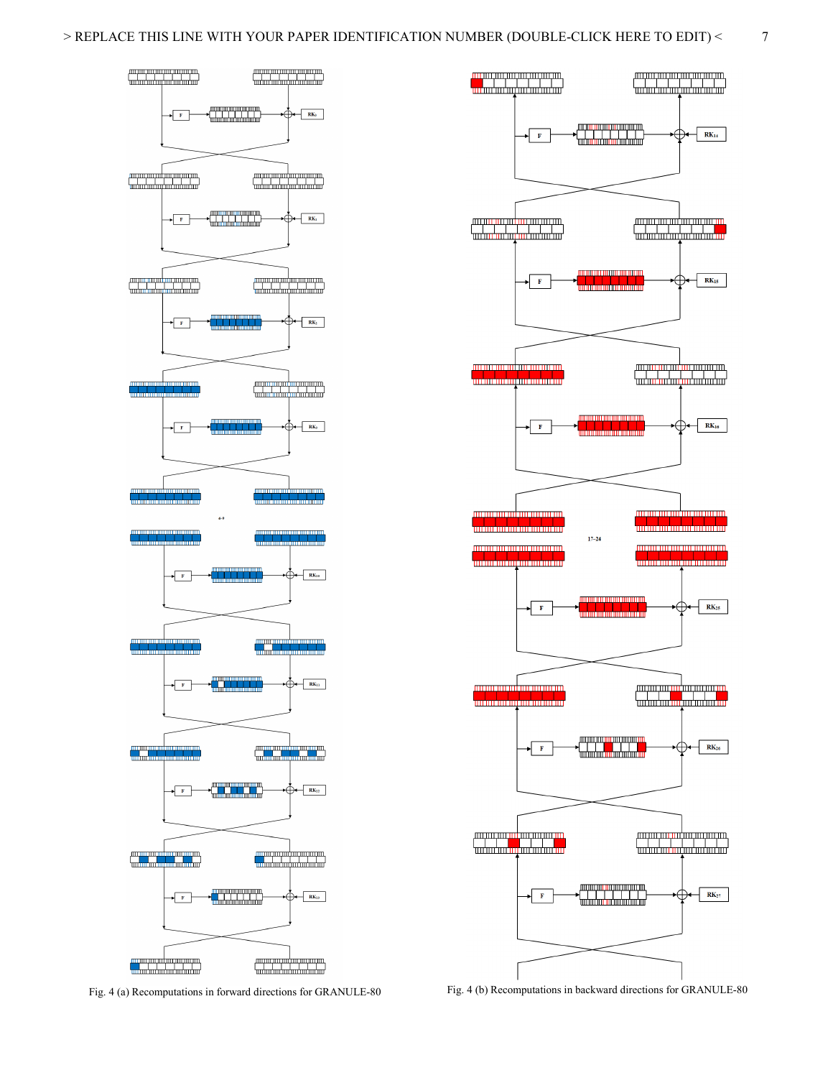



Fig. 4 (a) Recomputations in forward directions for GRANULE-80 Fig. 4 (b) Recomputations in backward directions for GRANULE-80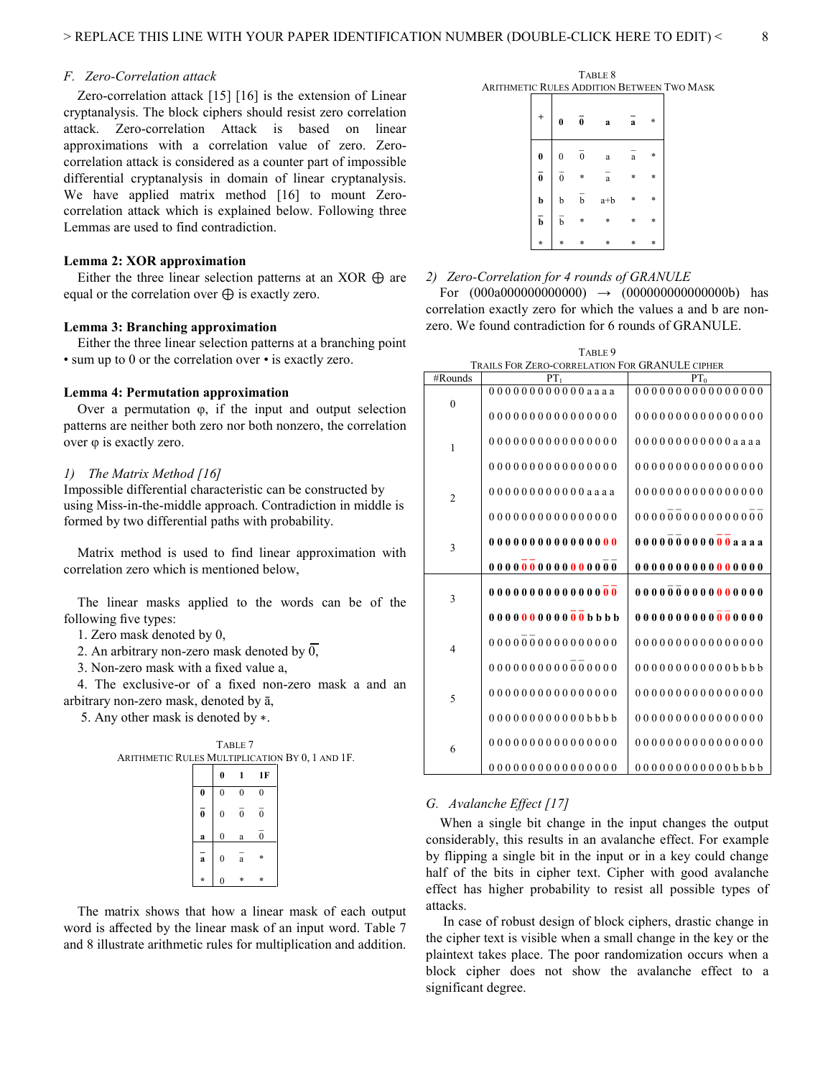# *F. Zero-Correlation attack*

Zero-correlation attack [15] [16] is the extension of Linear cryptanalysis. The block ciphers should resist zero correlation attack. Zero-correlation Attack is based on linear approximations with a correlation value of zero. Zerocorrelation attack is considered as a counter part of impossible differential cryptanalysis in domain of linear cryptanalysis. We have applied matrix method [16] to mount Zerocorrelation attack which is explained below. Following three Lemmas are used to find contradiction.

## **Lemma 2: XOR approximation**

Either the three linear selection patterns at an XOR  $\oplus$  are equal or the correlation over  $\oplus$  is exactly zero.

## **Lemma 3: Branching approximation**

Either the three linear selection patterns at a branching point • sum up to 0 or the correlation over • is exactly zero.

# **Lemma 4: Permutation approximation**

Over a permutation φ, if the input and output selection patterns are neither both zero nor both nonzero, the correlation over φ is exactly zero.

## *1) The Matrix Method [16]*

Impossible differential characteristic can be constructed by using Miss-in-the-middle approach. Contradiction in middle is formed by two differential paths with probability.

Matrix method is used to find linear approximation with correlation zero which is mentioned below,

The linear masks applied to the words can be of the following five types:

1. Zero mask denoted by 0,

2. An arbitrary non-zero mask denoted by  $\overline{0}$ ,

3. Non-zero mask with a fixed value a,

4. The exclusive-or of a fixed non-zero mask a and an arbitrary non-zero mask, denoted by ā,

5. Any other mask is denoted by ∗.



The matrix shows that how a linear mask of each output word is affected by the linear mask of an input word. Table 7 and 8 illustrate arithmetic rules for multiplication and addition.

TABLE 8 ARITHMETIC RULES ADDITION BETWEEN TWO MASK

| $\ddot{}$               | $\bf{0}$         | $\bf{0}$     | a            | a            | $\star$ |
|-------------------------|------------------|--------------|--------------|--------------|---------|
| $\bf{0}$                | $\boldsymbol{0}$ | $\mathbf{0}$ | a            | $\mathbf{a}$ | *       |
| $\overline{\mathbf{0}}$ | $\overline{0}$   | *            | $\mathbf{a}$ | *            | *       |
| b                       | b                | b            | $a+b$        | *            | *       |
| $\bar{b}$               | $\overline{b}$   | *            | *            | *            | *       |
| $\star$                 | $\ast$           | *            | $\ast$       | *            | *       |

## *2) Zero-Correlation for 4 rounds of GRANULE*

For  $(000a00000000000) \rightarrow (0000000000000000)$  has correlation exactly zero for which the values a and b are nonzero. We found contradiction for 6 rounds of GRANULE.

| TABLE 9                                         |
|-------------------------------------------------|
| TRAILS FOR ZERO CORRELATION FOR GRANILLE CIRLER |

| <b>TRAILS FOR ZERO-CORRELATION FOR GRANULE CIPHER</b> |                       |                   |  |  |  |  |  |  |  |  |
|-------------------------------------------------------|-----------------------|-------------------|--|--|--|--|--|--|--|--|
| #Rounds                                               | PT <sub>1</sub>       | PT <sub>0</sub>   |  |  |  |  |  |  |  |  |
| $\theta$                                              | 00000000000000000     | 00000000000000000 |  |  |  |  |  |  |  |  |
|                                                       | 0000000000000000      | 0000000000000000  |  |  |  |  |  |  |  |  |
| $\mathbf{1}$                                          | 0000000000000000      | 000000000000aaaa  |  |  |  |  |  |  |  |  |
|                                                       | 0000000000000000      | 0000000000000000  |  |  |  |  |  |  |  |  |
| $\overline{2}$                                        | 000000000000aaaa      | 00000000000000000 |  |  |  |  |  |  |  |  |
|                                                       | 0000000000000000      | 00000000000000000 |  |  |  |  |  |  |  |  |
| 3                                                     | 00000000000000000     | 0000000000000aaaa |  |  |  |  |  |  |  |  |
|                                                       |                       |                   |  |  |  |  |  |  |  |  |
| 3                                                     |                       | 00000000000000000 |  |  |  |  |  |  |  |  |
|                                                       | $00000000000000$ bbbb | 00000000000000000 |  |  |  |  |  |  |  |  |
| $\overline{4}$                                        | $000000000000000000$  | 00000000000000000 |  |  |  |  |  |  |  |  |
|                                                       | 00000000000000000     | 000000000000bbbb  |  |  |  |  |  |  |  |  |
| 5                                                     | 0000000000000000      | 0000000000000000  |  |  |  |  |  |  |  |  |
|                                                       | 000000000000bbbb      | 0000000000000000  |  |  |  |  |  |  |  |  |
| 6                                                     | 0000000000000000      | 0000000000000000  |  |  |  |  |  |  |  |  |
|                                                       | 0000000000000000      | 000000000000bbbb  |  |  |  |  |  |  |  |  |

## *G. Avalanche Effect [17]*

When a single bit change in the input changes the output considerably, this results in an avalanche effect. For example by flipping a single bit in the input or in a key could change half of the bits in cipher text. Cipher with good avalanche effect has higher probability to resist all possible types of attacks.

 In case of robust design of block ciphers, drastic change in the cipher text is visible when a small change in the key or the plaintext takes place. The poor randomization occurs when a block cipher does not show the avalanche effect to a significant degree.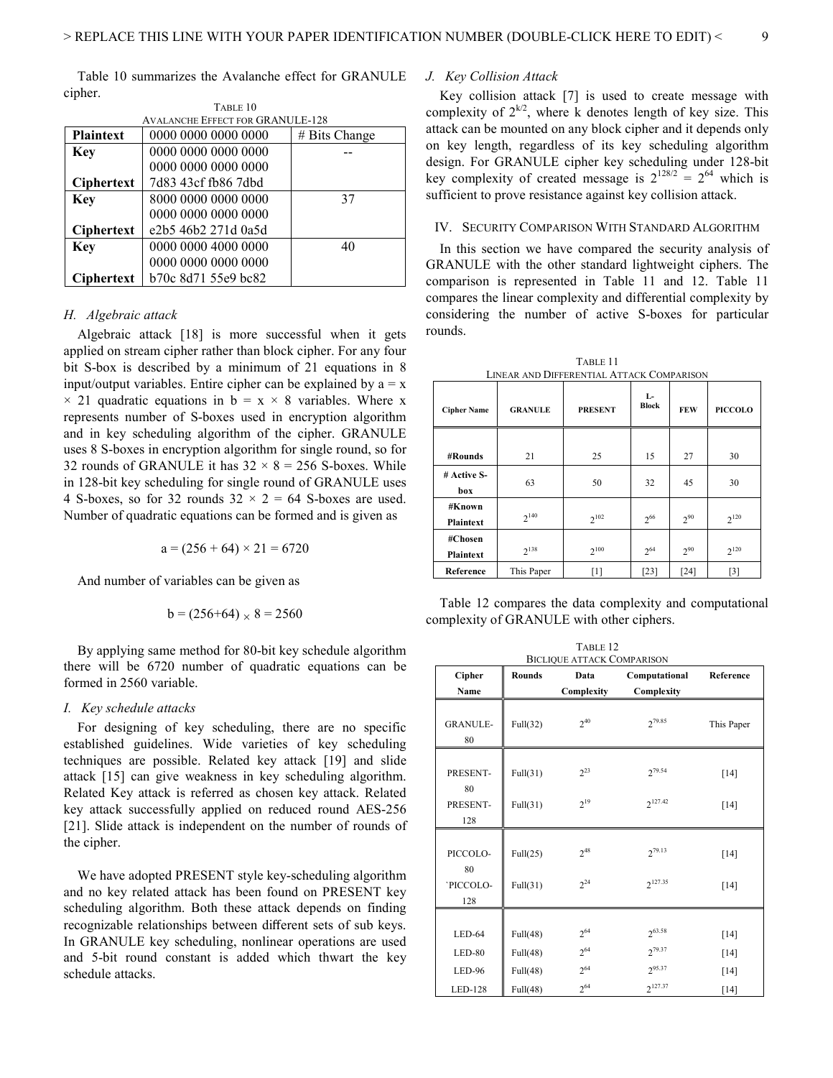Table 10 summarizes the Avalanche effect for GRANULE cipher.

| <b>AVALANCHE EFFECT FOR GRANULE-128</b> |                     |                    |  |  |  |  |  |  |  |  |
|-----------------------------------------|---------------------|--------------------|--|--|--|--|--|--|--|--|
| <b>Plaintext</b>                        | 0000 0000 0000 0000 | $# \;$ Bits Change |  |  |  |  |  |  |  |  |
| <b>Key</b>                              | 0000 0000 0000 0000 |                    |  |  |  |  |  |  |  |  |
|                                         | 0000 0000 0000 0000 |                    |  |  |  |  |  |  |  |  |
| <b>Ciphertext</b>                       | 7d83 43cf fb86 7dbd |                    |  |  |  |  |  |  |  |  |
| <b>Key</b>                              | 8000 0000 0000 0000 | 37                 |  |  |  |  |  |  |  |  |
|                                         | 0000 0000 0000 0000 |                    |  |  |  |  |  |  |  |  |
| <b>Ciphertext</b>                       | e2b5 46b2 271d 0a5d |                    |  |  |  |  |  |  |  |  |
| <b>Key</b>                              | 0000 0000 4000 0000 | 40                 |  |  |  |  |  |  |  |  |
|                                         | 0000 0000 0000 0000 |                    |  |  |  |  |  |  |  |  |
| <b>Ciphertext</b>                       | b70c 8d71 55e9 bc82 |                    |  |  |  |  |  |  |  |  |

TABLE 10

## *H. Algebraic attack*

Algebraic attack [18] is more successful when it gets applied on stream cipher rather than block cipher. For any four bit S-box is described by a minimum of 21 equations in 8 input/output variables. Entire cipher can be explained by  $a = x$  $\times$  21 quadratic equations in b = x  $\times$  8 variables. Where x represents number of S-boxes used in encryption algorithm and in key scheduling algorithm of the cipher. GRANULE uses 8 S-boxes in encryption algorithm for single round, so for 32 rounds of GRANULE it has  $32 \times 8 = 256$  S-boxes. While in 128-bit key scheduling for single round of GRANULE uses 4 S-boxes, so for 32 rounds  $32 \times 2 = 64$  S-boxes are used. Number of quadratic equations can be formed and is given as

 $a = (256 + 64) \times 21 = 6720$ 

And number of variables can be given as

$$
b = (256+64) \times 8 = 2560
$$

By applying same method for 80-bit key schedule algorithm there will be 6720 number of quadratic equations can be formed in 2560 variable.

## *I. Key schedule attacks*

For designing of key scheduling, there are no specific established guidelines. Wide varieties of key scheduling techniques are possible. Related key attack [19] and slide attack [15] can give weakness in key scheduling algorithm. Related Key attack is referred as chosen key attack. Related key attack successfully applied on reduced round AES-256 [21]. Slide attack is independent on the number of rounds of the cipher.

We have adopted PRESENT style key-scheduling algorithm and no key related attack has been found on PRESENT key scheduling algorithm. Both these attack depends on finding recognizable relationships between different sets of sub keys. In GRANULE key scheduling, nonlinear operations are used and 5-bit round constant is added which thwart the key schedule attacks.

# *J. Key Collision Attack*

Key collision attack [7] is used to create message with complexity of  $2^{k/2}$ , where k denotes length of key size. This attack can be mounted on any block cipher and it depends only on key length, regardless of its key scheduling algorithm design. For GRANULE cipher key scheduling under 128-bit key complexity of created message is  $2^{128/2} = 2^{64}$  which is sufficient to prove resistance against key collision attack.

## IV. SECURITY COMPARISON WITH STANDARD ALGORITHM

In this section we have compared the security analysis of GRANULE with the other standard lightweight ciphers. The comparison is represented in Table 11 and 12. Table 11 compares the linear complexity and differential complexity by considering the number of active S-boxes for particular rounds.

TABLE 11

LINEAR AND DIFFERENTIAL ATTACK COMPARISON **Cipher Name GRANULE PRESENT L-FEW PICCOLO #Rounds** 21 25 15 27 30 **# Active Sbox**  63 | 50 | 32 | 45 | 30 **#Known Plaintext**  $2^{140}$  $2^{102}$ 266  $2^{90}$  $2^{120}$ **#Chosen Plaintext** 2138  $2^{100}$   $2^{64}$  $2^{90}$  2  $2^{120}$ **Reference** This Paper [1] [23] [24] [3]

|  |  |                                           | Table 12 compares the data complexity and computational |
|--|--|-------------------------------------------|---------------------------------------------------------|
|  |  | complexity of GRANULE with other ciphers. |                                                         |

| TABLE 12                          |               |            |               |            |
|-----------------------------------|---------------|------------|---------------|------------|
| <b>BICLIQUE ATTACK COMPARISON</b> |               |            |               |            |
| Cipher                            | <b>Rounds</b> | Data       | Computational | Reference  |
| Name                              |               | Complexity | Complexity    |            |
| <b>GRANULE-</b><br>80             | Full(32)      | $2^{40}$   | $2^{79.85}$   | This Paper |
| PRESENT-<br>80                    | Full(31)      | $2^{23}$   | $2^{79.54}$   | $[14]$     |
| PRESENT-<br>128                   | Full(31)      | $2^{19}$   | $2^{127.42}$  | $[14]$     |
| PICCOLO-<br>80                    | Full(25)      | $2^{48}$   | $2^{79.13}$   | $[14]$     |
| `PICCOLO-<br>128                  | Full(31)      | $2^{24}$   | $2^{127.35}$  | $[14]$     |
|                                   |               |            |               |            |
| LED-64                            | Full(48)      | $2^{64}$   | $2^{63.58}$   | $[14]$     |
| $LED-80$                          | Full(48)      | $2^{64}$   | $2^{79.37}$   | $[14]$     |
| <b>LED-96</b>                     | Full(48)      | $2^{64}$   | 295.37        | $[14]$     |
| LED-128                           | Full(48)      | $2^{64}$   | $2^{127.37}$  | $[14]$     |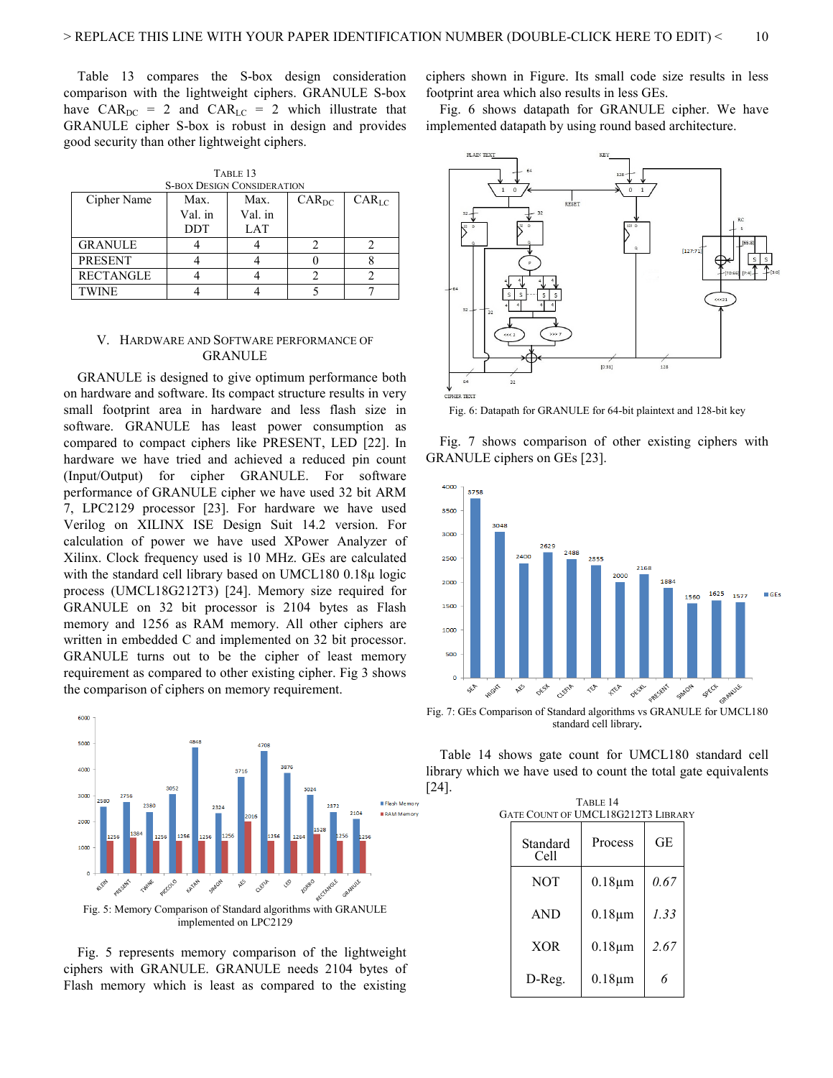Table 13 compares the S-box design consideration comparison with the lightweight ciphers. GRANULE S-box have  $CAR_{DC}$  = 2 and  $CAR_{LC}$  = 2 which illustrate that GRANULE cipher S-box is robust in design and provides good security than other lightweight ciphers.

| TABLE 1.3                         |            |         |            |            |
|-----------------------------------|------------|---------|------------|------------|
| <b>S-BOX DESIGN CONSIDERATION</b> |            |         |            |            |
| Cipher Name                       | Max.       | Max.    | $CAR_{DC}$ | $CAR_{LC}$ |
|                                   | Val. in    | Val. in |            |            |
|                                   | <b>DDT</b> | LAT     |            |            |
| GRANULE                           |            |         |            |            |
| <b>PRESENT</b>                    |            |         |            |            |
| RECTANGLE                         |            |         |            |            |
| TWINE                             |            |         |            |            |

TABLE 13

| V. HARDWARE AND SOFTWARE PERFORMANCE OF |
|-----------------------------------------|
| GRANULE                                 |

GRANULE is designed to give optimum performance both on hardware and software. Its compact structure results in very small footprint area in hardware and less flash size in software. GRANULE has least power consumption as compared to compact ciphers like PRESENT, LED [22]. In hardware we have tried and achieved a reduced pin count (Input/Output) for cipher GRANULE. For software performance of GRANULE cipher we have used 32 bit ARM 7, LPC2129 processor [23]. For hardware we have used Verilog on XILINX ISE Design Suit 14.2 version. For calculation of power we have used XPower Analyzer of Xilinx. Clock frequency used is 10 MHz. GEs are calculated with the standard cell library based on UMCL180 0.18µ logic process (UMCL18G212T3) [24]. Memory size required for GRANULE on 32 bit processor is 2104 bytes as Flash memory and 1256 as RAM memory. All other ciphers are written in embedded C and implemented on 32 bit processor. GRANULE turns out to be the cipher of least memory requirement as compared to other existing cipher. Fig 3 shows the comparison of ciphers on memory requirement.



Fig. 5: Memory Comparison of Standard algorithms with GRANULE implemented on LPC2129

Fig. 5 represents memory comparison of the lightweight ciphers with GRANULE. GRANULE needs 2104 bytes of Flash memory which is least as compared to the existing ciphers shown in Figure. Its small code size results in less footprint area which also results in less GEs.

Fig. 6 shows datapath for GRANULE cipher. We have implemented datapath by using round based architecture.



Fig. 6: Datapath for GRANULE for 64-bit plaintext and 128-bit key

Fig. 7 shows comparison of other existing ciphers with GRANULE ciphers on GEs [23].



Fig. 7: GEs Comparison of Standard algorithms vs GRANULE for UMCL180 standard cell library**.**

Table 14 shows gate count for UMCL180 standard cell library which we have used to count the total gate equivalents [24].

TABLE 14

| GATE COUNT OF UMCL18G212T3 LIBRARY |                  |              |      |  |
|------------------------------------|------------------|--------------|------|--|
|                                    | Standard<br>Cell | Process      | GЕ   |  |
|                                    | <b>NOT</b>       | $0.18 \mu m$ | 0.67 |  |
|                                    | <b>AND</b>       | $0.18 \mu m$ | 1.33 |  |
|                                    | <b>XOR</b>       | $0.18 \mu m$ | 2.67 |  |
|                                    | D-Reg.           | $0.18 \mu m$ | 6    |  |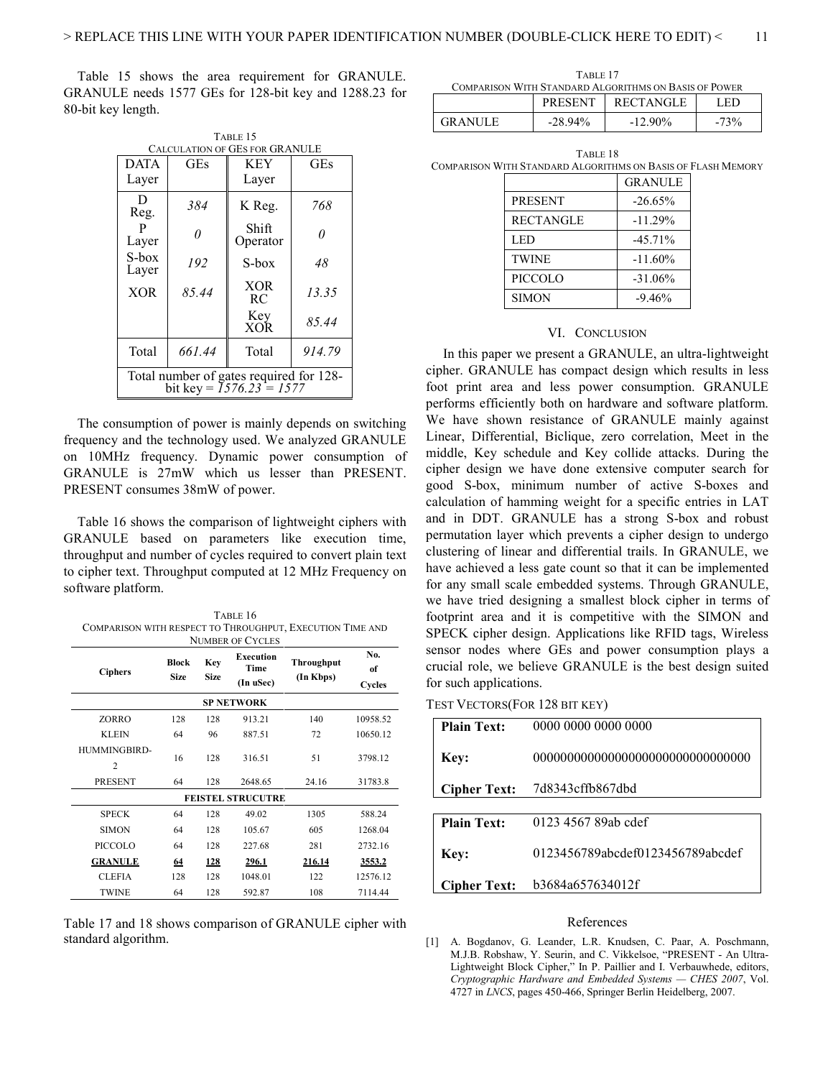Table 15 shows the area requirement for GRANULE. GRANULE needs 1577 GEs for 128-bit key and 1288.23 for 80-bit key length.

TABLE 15

| TABLE 1.3<br>CALCULATION OF GES FOR GRANULE                           |            |                   |            |  |
|-----------------------------------------------------------------------|------------|-------------------|------------|--|
| <b>DATA</b>                                                           | <b>GEs</b> | <b>KEY</b>        | <b>GEs</b> |  |
| Layer                                                                 |            | Layer             |            |  |
| D<br>Reg.                                                             | 384        | K Reg.            | 768        |  |
| P<br>Layer                                                            | O          | Shift<br>Operator | 0          |  |
| S-box<br>Layer                                                        | 192        | S-box             | 48         |  |
| <b>XOR</b>                                                            | 85.44      | <b>XOR</b><br>RC. | 13.35      |  |
|                                                                       |            | Key<br><b>XOR</b> | 85.44      |  |
| Total                                                                 | 661.44     | Total             | 914.79     |  |
| Total number of gates required for 128-<br>bit key = $1576.23 = 1577$ |            |                   |            |  |

The consumption of power is mainly depends on switching frequency and the technology used. We analyzed GRANULE on 10MHz frequency. Dynamic power consumption of GRANULE is 27mW which us lesser than PRESENT. PRESENT consumes 38mW of power.

Table 16 shows the comparison of lightweight ciphers with GRANULE based on parameters like execution time, throughput and number of cycles required to convert plain text to cipher text. Throughput computed at 12 MHz Frequency on software platform.

| TABLE 16                                                  |
|-----------------------------------------------------------|
| COMPARISON WITH RESPECT TO THROUGHPUT, EXECUTION TIME AND |
| <b>NUMBER OF CYCLES</b>                                   |

|                                |                      |                    | TTURIDER OF CTULED             |                         |                     |
|--------------------------------|----------------------|--------------------|--------------------------------|-------------------------|---------------------|
| <b>Ciphers</b>                 | Block<br><b>Size</b> | Key<br><b>Size</b> | Execution<br>Time<br>(In uSec) | Throughput<br>(In Kbps) | No.<br>of<br>Cycles |
|                                |                      |                    | <b>SP NETWORK</b>              |                         |                     |
| ZORRO                          | 128                  | 128                | 913.21                         | 140                     | 10958.52            |
| <b>KLEIN</b>                   | 64                   | 96                 | 887.51                         | 72                      | 10650.12            |
| HUMMINGBIRD-<br>$\overline{c}$ | 16                   | 128                | 316.51                         | 51                      | 3798.12             |
| <b>PRESENT</b>                 | 64                   | 128                | 2648.65                        | 24.16                   | 31783.8             |
| <b>FEISTEL STRUCUTRE</b>       |                      |                    |                                |                         |                     |
| <b>SPECK</b>                   | 64                   | 128                | 49.02                          | 1305                    | 588.24              |
| <b>SIMON</b>                   | 64                   | 128                | 105.67                         | 605                     | 1268.04             |
| PICCOLO                        | 64                   | 128                | 227.68                         | 281                     | 2732.16             |
| <b>GRANULE</b>                 | 64                   | 128                | 296.1                          | 216.14                  | 3553.2              |
| <b>CLEFIA</b>                  | 128                  | 128                | 1048.01                        | 122                     | 12576.12            |
| <b>TWINE</b>                   | 64                   | 128                | 592.87                         | 108                     | 7114.44             |

Table 17 and 18 shows comparison of GRANULE cipher with standard algorithm.

| TABLE 17                                              |  |                   |      |  |
|-------------------------------------------------------|--|-------------------|------|--|
| COMPARISON WITH STANDARD ALGORITHMS ON BASIS OF POWER |  |                   |      |  |
|                                                       |  | PRESENT RECTANGLE | LED. |  |

TABLE 18 COMPARISON WITH STANDARD ALGORITHMS ON BASIS OF FLASH MEMORY

GRANULE | -28.94% | -12.90% | -73%

|                  | <b>GRANULE</b> |
|------------------|----------------|
| <b>PRESENT</b>   | $-26.65%$      |
| <b>RECTANGLE</b> | $-11.29%$      |
| LED              | $-45.71\%$     |
| <b>TWINE</b>     | $-11.60\%$     |
| PICCOLO          | $-31.06\%$     |
| <b>SIMON</b>     | $-9.46%$       |

#### VI. CONCLUSION

 In this paper we present a GRANULE, an ultra-lightweight cipher. GRANULE has compact design which results in less foot print area and less power consumption. GRANULE performs efficiently both on hardware and software platform. We have shown resistance of GRANULE mainly against Linear, Differential, Biclique, zero correlation, Meet in the middle, Key schedule and Key collide attacks. During the cipher design we have done extensive computer search for good S-box, minimum number of active S-boxes and calculation of hamming weight for a specific entries in LAT and in DDT. GRANULE has a strong S-box and robust permutation layer which prevents a cipher design to undergo clustering of linear and differential trails. In GRANULE, we have achieved a less gate count so that it can be implemented for any small scale embedded systems. Through GRANULE, we have tried designing a smallest block cipher in terms of footprint area and it is competitive with the SIMON and SPECK cipher design. Applications like RFID tags, Wireless sensor nodes where GEs and power consumption plays a crucial role, we believe GRANULE is the best design suited for such applications.

| TEST VECTORS(FOR 128 BIT KEY) |  |
|-------------------------------|--|
|-------------------------------|--|

| <b>Plain Text:</b>  | 0000 0000 0000 0000               |
|---------------------|-----------------------------------|
| Key:                | 000000000000000000000000000000000 |
| <b>Cipher Text:</b> | 7d8343cffb867dbd                  |
|                     |                                   |
| <b>Plain Text:</b>  | 0123 4567 89ab cdef               |
| Key:                | 0123456789abcdef0123456789abcdef  |
| <b>Cipher Text:</b> | b3684a657634012f                  |

#### References

[1] A. Bogdanov, G. Leander, L.R. Knudsen, C. Paar, A. Poschmann, M.J.B. Robshaw, Y. Seurin, and C. Vikkelsoe, "PRESENT - An Ultra-Lightweight Block Cipher," In P. Paillier and I. Verbauwhede, editors, *Cryptographic Hardware and Embedded Systems — CHES 2007*, Vol. 4727 in *LNCS*, pages 450-466, Springer Berlin Heidelberg, 2007.